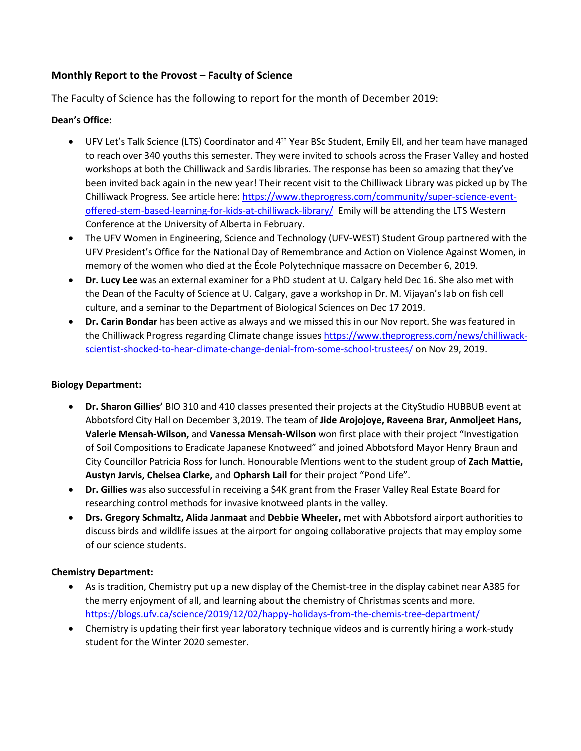# **Monthly Report to the Provost – Faculty of Science**

The Faculty of Science has the following to report for the month of December 2019:

### **Dean's Office:**

- UFV Let's Talk Science (LTS) Coordinator and 4<sup>th</sup> Year BSc Student, Emily Ell, and her team have managed to reach over 340 youths this semester. They were invited to schools across the Fraser Valley and hosted workshops at both the Chilliwack and Sardis libraries. The response has been so amazing that they've been invited back again in the new year! Their recent visit to the Chilliwack Library was picked up by The Chilliwack Progress. See article here[: https://www.theprogress.com/community/super-science-event](https://linkprotect.cudasvc.com/url?a=https%3a%2f%2fwww.theprogress.com%2fcommunity%2fsuper-science-event-offered-stem-based-learning-for-kids-at-chilliwack-library%2f&c=E,1,k7APRGYYXrwK6wTve04WnhJMp7diQaPBdtPkABgK6pBiN2FU99Zkh0nPEkCu3mztxAtaxXLaFRJ506_pW66MckCazt-TUHk1O2ipEJI2wKZLlZU,&typo=1)[offered-stem-based-learning-for-kids-at-chilliwack-library/](https://linkprotect.cudasvc.com/url?a=https%3a%2f%2fwww.theprogress.com%2fcommunity%2fsuper-science-event-offered-stem-based-learning-for-kids-at-chilliwack-library%2f&c=E,1,k7APRGYYXrwK6wTve04WnhJMp7diQaPBdtPkABgK6pBiN2FU99Zkh0nPEkCu3mztxAtaxXLaFRJ506_pW66MckCazt-TUHk1O2ipEJI2wKZLlZU,&typo=1) Emily will be attending the LTS Western Conference at the University of Alberta in February.
- The UFV Women in Engineering, Science and Technology (UFV-WEST) Student Group partnered with the UFV President's Office for the National Day of Remembrance and Action on Violence Against Women, in memory of the women who died at the École Polytechnique massacre on December 6, 2019.
- **Dr. Lucy Lee** was an external examiner for a PhD student at U. Calgary held Dec 16. She also met with the Dean of the Faculty of Science at U. Calgary, gave a workshop in Dr. M. Vijayan's lab on fish cell culture, and a seminar to the Department of Biological Sciences on Dec 17 2019.
- **Dr. Carin Bondar** has been active as always and we missed this in our Nov report. She was featured in the Chilliwack Progress regarding Climate change issues [https://www.theprogress.com/news/chilliwack](https://www.theprogress.com/news/chilliwack-scientist-shocked-to-hear-climate-change-denial-from-some-school-trustees/)[scientist-shocked-to-hear-climate-change-denial-from-some-school-trustees/](https://www.theprogress.com/news/chilliwack-scientist-shocked-to-hear-climate-change-denial-from-some-school-trustees/) on Nov 29, 2019.

#### **Biology Department:**

- **Dr. Sharon Gillies'** BIO 310 and 410 classes presented their projects at the CityStudio HUBBUB event at Abbotsford City Hall on December 3,2019. The team of **Jide Arojojoye, Raveena Brar, Anmoljeet Hans, Valerie Mensah-Wilson,** and **Vanessa Mensah-Wilson** won first place with their project "Investigation of Soil Compositions to Eradicate Japanese Knotweed" and joined Abbotsford Mayor Henry Braun and City Councillor Patricia Ross for lunch. Honourable Mentions went to the student group of **Zach Mattie, Austyn Jarvis, Chelsea Clarke,** and **Opharsh Lail** for their project "Pond Life".
- **Dr. Gillies** was also successful in receiving a \$4K grant from the Fraser Valley Real Estate Board for researching control methods for invasive knotweed plants in the valley.
- **Drs. Gregory Schmaltz, Alida Janmaat** and **Debbie Wheeler,** met with Abbotsford airport authorities to discuss birds and wildlife issues at the airport for ongoing collaborative projects that may employ some of our science students.

#### **Chemistry Department:**

- As is tradition, Chemistry put up a new display of the Chemist-tree in the display cabinet near A385 for the merry enjoyment of all, and learning about the chemistry of Christmas scents and more. <https://blogs.ufv.ca/science/2019/12/02/happy-holidays-from-the-chemis-tree-department/>
- Chemistry is updating their first year laboratory technique videos and is currently hiring a work-study student for the Winter 2020 semester.